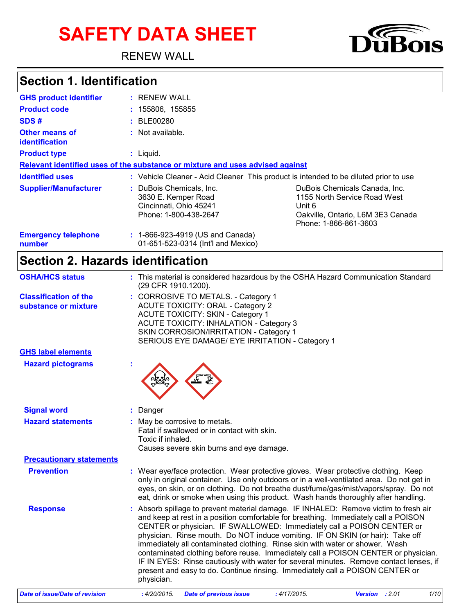# **SAFETY DATA SHEET**

RENEW WALL



### **Section 1. Identification**

| <b>GHS product identifier</b>           | : RENEW WALL                                                                                                                                                                                                                                |
|-----------------------------------------|---------------------------------------------------------------------------------------------------------------------------------------------------------------------------------------------------------------------------------------------|
| <b>Product code</b>                     | : 155806, 155855                                                                                                                                                                                                                            |
| SDS#                                    | : BLE00280                                                                                                                                                                                                                                  |
| <b>Other means of</b><br>identification | : Not available.                                                                                                                                                                                                                            |
| <b>Product type</b>                     | : Liguid.                                                                                                                                                                                                                                   |
|                                         | Relevant identified uses of the substance or mixture and uses advised against                                                                                                                                                               |
| <b>Identified uses</b>                  | : Vehicle Cleaner - Acid Cleaner This product is intended to be diluted prior to use                                                                                                                                                        |
| <b>Supplier/Manufacturer</b>            | : DuBois Chemicals. Inc.<br>DuBois Chemicals Canada, Inc.<br>1155 North Service Road West<br>3630 E. Kemper Road<br>Cincinnati, Ohio 45241<br>Unit 6<br>Phone: 1-800-438-2647<br>Oakville, Ontario, L6M 3E3 Canada<br>Phone: 1-866-861-3603 |
| <b>Emergency telephone</b><br>number    | $: 1-866-923-4919$ (US and Canada)<br>01-651-523-0314 (Int'l and Mexico)                                                                                                                                                                    |

### **Section 2. Hazards identification**

| <b>OSHA/HCS status</b>                               | : This material is considered hazardous by the OSHA Hazard Communication Standard<br>(29 CFR 1910.1200).                                                                                                                                                                                                                                                                                                                                                                                                                                                                                                                                                                                               |
|------------------------------------------------------|--------------------------------------------------------------------------------------------------------------------------------------------------------------------------------------------------------------------------------------------------------------------------------------------------------------------------------------------------------------------------------------------------------------------------------------------------------------------------------------------------------------------------------------------------------------------------------------------------------------------------------------------------------------------------------------------------------|
| <b>Classification of the</b><br>substance or mixture | : CORROSIVE TO METALS. - Category 1<br><b>ACUTE TOXICITY: ORAL - Category 2</b><br><b>ACUTE TOXICITY: SKIN - Category 1</b><br><b>ACUTE TOXICITY: INHALATION - Category 3</b><br>SKIN CORROSION/IRRITATION - Category 1<br>SERIOUS EYE DAMAGE/ EYE IRRITATION - Category 1                                                                                                                                                                                                                                                                                                                                                                                                                             |
| <b>GHS label elements</b>                            |                                                                                                                                                                                                                                                                                                                                                                                                                                                                                                                                                                                                                                                                                                        |
| <b>Hazard pictograms</b>                             |                                                                                                                                                                                                                                                                                                                                                                                                                                                                                                                                                                                                                                                                                                        |
| <b>Signal word</b>                                   | Danger                                                                                                                                                                                                                                                                                                                                                                                                                                                                                                                                                                                                                                                                                                 |
| <b>Hazard statements</b>                             | : May be corrosive to metals.<br>Fatal if swallowed or in contact with skin.<br>Toxic if inhaled.<br>Causes severe skin burns and eye damage.                                                                                                                                                                                                                                                                                                                                                                                                                                                                                                                                                          |
| <b>Precautionary statements</b>                      |                                                                                                                                                                                                                                                                                                                                                                                                                                                                                                                                                                                                                                                                                                        |
| <b>Prevention</b>                                    | : Wear eye/face protection. Wear protective gloves. Wear protective clothing. Keep<br>only in original container. Use only outdoors or in a well-ventilated area. Do not get in<br>eyes, on skin, or on clothing. Do not breathe dust/fume/gas/mist/vapors/spray. Do not<br>eat, drink or smoke when using this product. Wash hands thoroughly after handling.                                                                                                                                                                                                                                                                                                                                         |
| <b>Response</b>                                      | : Absorb spillage to prevent material damage. IF INHALED: Remove victim to fresh air<br>and keep at rest in a position comfortable for breathing. Immediately call a POISON<br>CENTER or physician. IF SWALLOWED: Immediately call a POISON CENTER or<br>physician. Rinse mouth. Do NOT induce vomiting. IF ON SKIN (or hair): Take off<br>immediately all contaminated clothing. Rinse skin with water or shower. Wash<br>contaminated clothing before reuse. Immediately call a POISON CENTER or physician.<br>IF IN EYES: Rinse cautiously with water for several minutes. Remove contact lenses, if<br>present and easy to do. Continue rinsing. Immediately call a POISON CENTER or<br>physician. |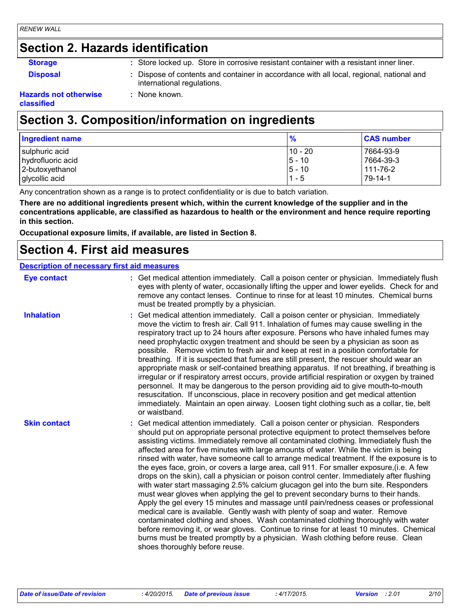### **Section 2. Hazards identification**

**Storage <b>:** Store locked up. Store in corrosive resistant container with a resistant inner liner.

- 
- **Disposal :** Dispose of contents and container in accordance with all local, regional, national and international regulations.

#### **Hazards not otherwise classified**

### **Section 3. Composition/information on ingredients**

**:** None known.

| Ingredient name   | %        | <b>CAS number</b> |
|-------------------|----------|-------------------|
| sulphuric acid    | 10 - 20  | 7664-93-9         |
| hydrofluoric acid | $5 - 10$ | 7664-39-3         |
| 2-butoxyethanol   | $5 - 10$ | 111-76-2          |
| glycollic acid    | $1 - 5$  | 79-14-1           |

Any concentration shown as a range is to protect confidentiality or is due to batch variation.

**There are no additional ingredients present which, within the current knowledge of the supplier and in the concentrations applicable, are classified as hazardous to health or the environment and hence require reporting in this section.**

**Occupational exposure limits, if available, are listed in Section 8.**

### **Section 4. First aid measures**

#### **Description of necessary first aid measures**

| <b>Eye contact</b>  | : Get medical attention immediately. Call a poison center or physician. Immediately flush<br>eyes with plenty of water, occasionally lifting the upper and lower eyelids. Check for and<br>remove any contact lenses. Continue to rinse for at least 10 minutes. Chemical burns<br>must be treated promptly by a physician.                                                                                                                                                                                                                                                                                                                                                                                                                                                                                                                                                                                                                                                                                                                                                                                                                                                                                                                                                                                   |
|---------------------|---------------------------------------------------------------------------------------------------------------------------------------------------------------------------------------------------------------------------------------------------------------------------------------------------------------------------------------------------------------------------------------------------------------------------------------------------------------------------------------------------------------------------------------------------------------------------------------------------------------------------------------------------------------------------------------------------------------------------------------------------------------------------------------------------------------------------------------------------------------------------------------------------------------------------------------------------------------------------------------------------------------------------------------------------------------------------------------------------------------------------------------------------------------------------------------------------------------------------------------------------------------------------------------------------------------|
| <b>Inhalation</b>   | : Get medical attention immediately. Call a poison center or physician. Immediately<br>move the victim to fresh air. Call 911. Inhalation of fumes may cause swelling in the<br>respiratory tract up to 24 hours after exposure. Persons who have inhaled fumes may<br>need prophylactic oxygen treatment and should be seen by a physician as soon as<br>possible. Remove victim to fresh air and keep at rest in a position comfortable for<br>breathing. If it is suspected that fumes are still present, the rescuer should wear an<br>appropriate mask or self-contained breathing apparatus. If not breathing, if breathing is<br>irregular or if respiratory arrest occurs, provide artificial respiration or oxygen by trained<br>personnel. It may be dangerous to the person providing aid to give mouth-to-mouth<br>resuscitation. If unconscious, place in recovery position and get medical attention<br>immediately. Maintain an open airway. Loosen tight clothing such as a collar, tie, belt<br>or waistband.                                                                                                                                                                                                                                                                                |
| <b>Skin contact</b> | : Get medical attention immediately. Call a poison center or physician. Responders<br>should put on appropriate personal protective equipment to protect themselves before<br>assisting victims. Immediately remove all contaminated clothing. Immediately flush the<br>affected area for five minutes with large amounts of water. While the victim is being<br>rinsed with water, have someone call to arrange medical treatment. If the exposure is to<br>the eyes face, groin, or covers a large area, call 911. For smaller exposure, (i.e. A few<br>drops on the skin), call a physician or poison control center. Immediately after flushing<br>with water start massaging 2.5% calcium glucagon gel into the burn site. Responders<br>must wear gloves when applying the gel to prevent secondary burns to their hands.<br>Apply the gel every 15 minutes and massage until pain/redness ceases or professional<br>medical care is available. Gently wash with plenty of soap and water. Remove<br>contaminated clothing and shoes. Wash contaminated clothing thoroughly with water<br>before removing it, or wear gloves. Continue to rinse for at least 10 minutes. Chemical<br>burns must be treated promptly by a physician. Wash clothing before reuse. Clean<br>shoes thoroughly before reuse. |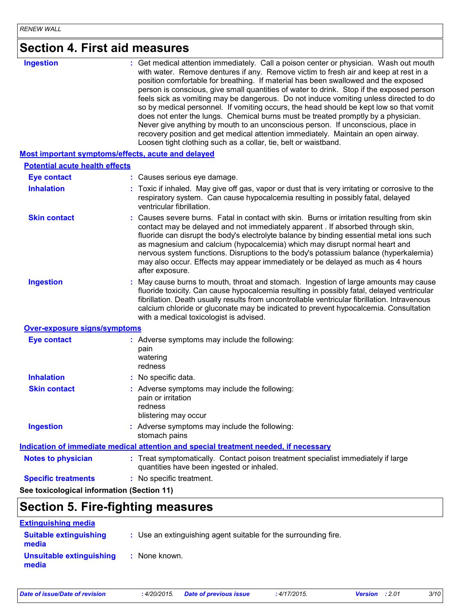| <b>Section 4. First aid measures</b>       |                                                                                                                                                                                                                                                                                                                                                                                                                                                                                                                                                                                                                                                                                                                                                                                                                                                                                     |
|--------------------------------------------|-------------------------------------------------------------------------------------------------------------------------------------------------------------------------------------------------------------------------------------------------------------------------------------------------------------------------------------------------------------------------------------------------------------------------------------------------------------------------------------------------------------------------------------------------------------------------------------------------------------------------------------------------------------------------------------------------------------------------------------------------------------------------------------------------------------------------------------------------------------------------------------|
| <b>Ingestion</b>                           | : Get medical attention immediately. Call a poison center or physician. Wash out mouth<br>with water. Remove dentures if any. Remove victim to fresh air and keep at rest in a<br>position comfortable for breathing. If material has been swallowed and the exposed<br>person is conscious, give small quantities of water to drink. Stop if the exposed person<br>feels sick as vomiting may be dangerous. Do not induce vomiting unless directed to do<br>so by medical personnel. If vomiting occurs, the head should be kept low so that vomit<br>does not enter the lungs. Chemical burns must be treated promptly by a physician.<br>Never give anything by mouth to an unconscious person. If unconscious, place in<br>recovery position and get medical attention immediately. Maintain an open airway.<br>Loosen tight clothing such as a collar, tie, belt or waistband. |
|                                            | <b>Most important symptoms/effects, acute and delayed</b>                                                                                                                                                                                                                                                                                                                                                                                                                                                                                                                                                                                                                                                                                                                                                                                                                           |
| <b>Potential acute health effects</b>      |                                                                                                                                                                                                                                                                                                                                                                                                                                                                                                                                                                                                                                                                                                                                                                                                                                                                                     |
| <b>Eye contact</b>                         | : Causes serious eye damage.                                                                                                                                                                                                                                                                                                                                                                                                                                                                                                                                                                                                                                                                                                                                                                                                                                                        |
| <b>Inhalation</b>                          | : Toxic if inhaled. May give off gas, vapor or dust that is very irritating or corrosive to the<br>respiratory system. Can cause hypocalcemia resulting in possibly fatal, delayed<br>ventricular fibrillation.                                                                                                                                                                                                                                                                                                                                                                                                                                                                                                                                                                                                                                                                     |
| <b>Skin contact</b>                        | : Causes severe burns. Fatal in contact with skin. Burns or irritation resulting from skin<br>contact may be delayed and not immediately apparent. If absorbed through skin,<br>fluoride can disrupt the body's electrolyte balance by binding essential metal ions such<br>as magnesium and calcium (hypocalcemia) which may disrupt normal heart and<br>nervous system functions. Disruptions to the body's potassium balance (hyperkalemia)<br>may also occur. Effects may appear immediately or be delayed as much as 4 hours<br>after exposure.                                                                                                                                                                                                                                                                                                                                |
| <b>Ingestion</b>                           | May cause burns to mouth, throat and stomach. Ingestion of large amounts may cause<br>fluoride toxicity. Can cause hypocalcemia resulting in possibly fatal, delayed ventricular<br>fibrillation. Death usually results from uncontrollable ventricular fibrillation. Intravenous<br>calcium chloride or gluconate may be indicated to prevent hypocalcemia. Consultation<br>with a medical toxicologist is advised.                                                                                                                                                                                                                                                                                                                                                                                                                                                                |
| <b>Over-exposure signs/symptoms</b>        |                                                                                                                                                                                                                                                                                                                                                                                                                                                                                                                                                                                                                                                                                                                                                                                                                                                                                     |
| <b>Eye contact</b>                         | : Adverse symptoms may include the following:<br>pain<br>watering<br>redness                                                                                                                                                                                                                                                                                                                                                                                                                                                                                                                                                                                                                                                                                                                                                                                                        |
| <b>Inhalation</b>                          | : No specific data.                                                                                                                                                                                                                                                                                                                                                                                                                                                                                                                                                                                                                                                                                                                                                                                                                                                                 |
| <b>Skin contact</b>                        | : Adverse symptoms may include the following:<br>pain or irritation<br>redness<br>blistering may occur                                                                                                                                                                                                                                                                                                                                                                                                                                                                                                                                                                                                                                                                                                                                                                              |
| <b>Ingestion</b>                           | : Adverse symptoms may include the following:<br>stomach pains                                                                                                                                                                                                                                                                                                                                                                                                                                                                                                                                                                                                                                                                                                                                                                                                                      |
|                                            | Indication of immediate medical attention and special treatment needed, if necessary                                                                                                                                                                                                                                                                                                                                                                                                                                                                                                                                                                                                                                                                                                                                                                                                |
| <b>Notes to physician</b>                  | : Treat symptomatically. Contact poison treatment specialist immediately if large<br>quantities have been ingested or inhaled.                                                                                                                                                                                                                                                                                                                                                                                                                                                                                                                                                                                                                                                                                                                                                      |
| <b>Specific treatments</b>                 | : No specific treatment.                                                                                                                                                                                                                                                                                                                                                                                                                                                                                                                                                                                                                                                                                                                                                                                                                                                            |
| See toxicological information (Section 11) |                                                                                                                                                                                                                                                                                                                                                                                                                                                                                                                                                                                                                                                                                                                                                                                                                                                                                     |

### **Section 5. Fire-fighting measures**

| <b>Extinguishing media</b>             |                                                                 |
|----------------------------------------|-----------------------------------------------------------------|
| <b>Suitable extinguishing</b><br>media | : Use an extinguishing agent suitable for the surrounding fire. |
| Unsuitable extinguishing<br>media      | : None known.                                                   |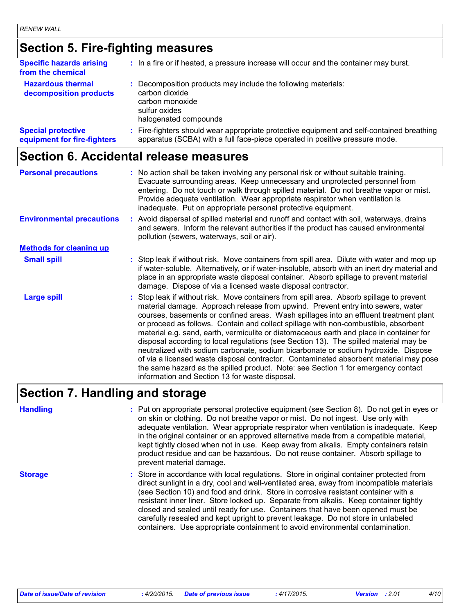### **Section 5. Fire-fighting measures**

| <b>Specific hazards arising</b><br>from the chemical     | : In a fire or if heated, a pressure increase will occur and the container may burst.                                                                                    |
|----------------------------------------------------------|--------------------------------------------------------------------------------------------------------------------------------------------------------------------------|
| <b>Hazardous thermal</b><br>decomposition products       | : Decomposition products may include the following materials:<br>carbon dioxide<br>carbon monoxide<br>sulfur oxides<br>halogenated compounds                             |
| <b>Special protective</b><br>equipment for fire-fighters | : Fire-fighters should wear appropriate protective equipment and self-contained breathing<br>apparatus (SCBA) with a full face-piece operated in positive pressure mode. |

### **Section 6. Accidental release measures**

| <b>Personal precautions</b>      | : No action shall be taken involving any personal risk or without suitable training.<br>Evacuate surrounding areas. Keep unnecessary and unprotected personnel from<br>entering. Do not touch or walk through spilled material. Do not breathe vapor or mist.<br>Provide adequate ventilation. Wear appropriate respirator when ventilation is<br>inadequate. Put on appropriate personal protective equipment.                                                                                                                                                                                                                                                                                                                                                                                                                                                       |
|----------------------------------|-----------------------------------------------------------------------------------------------------------------------------------------------------------------------------------------------------------------------------------------------------------------------------------------------------------------------------------------------------------------------------------------------------------------------------------------------------------------------------------------------------------------------------------------------------------------------------------------------------------------------------------------------------------------------------------------------------------------------------------------------------------------------------------------------------------------------------------------------------------------------|
| <b>Environmental precautions</b> | : Avoid dispersal of spilled material and runoff and contact with soil, waterways, drains<br>and sewers. Inform the relevant authorities if the product has caused environmental<br>pollution (sewers, waterways, soil or air).                                                                                                                                                                                                                                                                                                                                                                                                                                                                                                                                                                                                                                       |
| <b>Methods for cleaning up</b>   |                                                                                                                                                                                                                                                                                                                                                                                                                                                                                                                                                                                                                                                                                                                                                                                                                                                                       |
| <b>Small spill</b>               | : Stop leak if without risk. Move containers from spill area. Dilute with water and mop up<br>if water-soluble. Alternatively, or if water-insoluble, absorb with an inert dry material and<br>place in an appropriate waste disposal container. Absorb spillage to prevent material<br>damage. Dispose of via a licensed waste disposal contractor.                                                                                                                                                                                                                                                                                                                                                                                                                                                                                                                  |
| <b>Large spill</b>               | : Stop leak if without risk. Move containers from spill area. Absorb spillage to prevent<br>material damage. Approach release from upwind. Prevent entry into sewers, water<br>courses, basements or confined areas. Wash spillages into an effluent treatment plant<br>or proceed as follows. Contain and collect spillage with non-combustible, absorbent<br>material e.g. sand, earth, vermiculite or diatomaceous earth and place in container for<br>disposal according to local regulations (see Section 13). The spilled material may be<br>neutralized with sodium carbonate, sodium bicarbonate or sodium hydroxide. Dispose<br>of via a licensed waste disposal contractor. Contaminated absorbent material may pose<br>the same hazard as the spilled product. Note: see Section 1 for emergency contact<br>information and Section 13 for waste disposal. |

### **Section 7. Handling and storage**

**Storage** Store in accordance with local regulations. Store in original container protected from **Handling** entries a metal on appropriate personal protective equipment (see Section 8). Do not get in eyes or and on skin or clothing. Do not breathe vapor or mist. Do not ingest. Use only with adequate ventilation. Wear appropriate respirator when ventilation is inadequate. Keep in the original container or an approved alternative made from a compatible material, kept tightly closed when not in use. Keep away from alkalis. Empty containers retain product residue and can be hazardous. Do not reuse container. Absorb spillage to prevent material damage.

direct sunlight in a dry, cool and well-ventilated area, away from incompatible materials (see Section 10) and food and drink. Store in corrosive resistant container with a resistant inner liner. Store locked up. Separate from alkalis. Keep container tightly closed and sealed until ready for use. Containers that have been opened must be carefully resealed and kept upright to prevent leakage. Do not store in unlabeled containers. Use appropriate containment to avoid environmental contamination.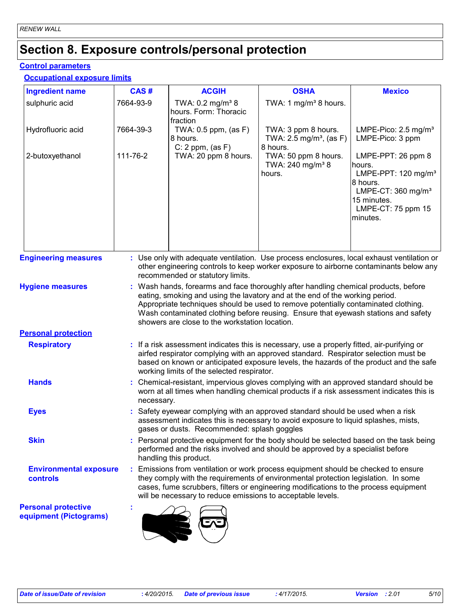### **Section 8. Exposure controls/personal protection**

#### **Control parameters**

#### **Occupational exposure limits**

| <b>Ingredient name</b>                               | CAS#      | <b>ACGIH</b>                                                                                                                                                                                                                                                                                                                                                                                      | <b>OSHA</b>                                                            | <b>Mexico</b>                                                                                                                                                                                                            |  |  |  |
|------------------------------------------------------|-----------|---------------------------------------------------------------------------------------------------------------------------------------------------------------------------------------------------------------------------------------------------------------------------------------------------------------------------------------------------------------------------------------------------|------------------------------------------------------------------------|--------------------------------------------------------------------------------------------------------------------------------------------------------------------------------------------------------------------------|--|--|--|
| sulphuric acid                                       | 7664-93-9 | TWA: 0.2 mg/m <sup>3</sup> 8<br>hours. Form: Thoracic<br>fraction                                                                                                                                                                                                                                                                                                                                 | TWA: 1 mg/m <sup>3</sup> 8 hours.                                      |                                                                                                                                                                                                                          |  |  |  |
| Hydrofluoric acid                                    | 7664-39-3 | TWA: $0.5$ ppm, (as F)<br>8 hours.<br>C: 2 ppm, (as F)                                                                                                                                                                                                                                                                                                                                            | TWA: 3 ppm 8 hours.<br>TWA: 2.5 mg/m <sup>3</sup> , (as F)<br>8 hours. | LMPE-Pico: 2.5 mg/m <sup>3</sup><br>LMPE-Pico: 3 ppm<br>LMPE-PPT: 26 ppm 8<br>hours.<br>LMPE-PPT: 120 mg/m <sup>3</sup><br>8 hours.<br>LMPE-CT: $360$ mg/m <sup>3</sup><br>15 minutes.<br>LMPE-CT: 75 ppm 15<br>minutes. |  |  |  |
| 2-butoxyethanol                                      | 111-76-2  | TWA: 20 ppm 8 hours.                                                                                                                                                                                                                                                                                                                                                                              | TWA: 50 ppm 8 hours.<br>TWA: 240 mg/m <sup>3</sup> 8<br>hours.         |                                                                                                                                                                                                                          |  |  |  |
| <b>Engineering measures</b>                          |           | : Use only with adequate ventilation. Use process enclosures, local exhaust ventilation or<br>other engineering controls to keep worker exposure to airborne contaminants below any<br>recommended or statutory limits.                                                                                                                                                                           |                                                                        |                                                                                                                                                                                                                          |  |  |  |
| <b>Hygiene measures</b>                              |           | : Wash hands, forearms and face thoroughly after handling chemical products, before<br>eating, smoking and using the lavatory and at the end of the working period.<br>Appropriate techniques should be used to remove potentially contaminated clothing.<br>Wash contaminated clothing before reusing. Ensure that eyewash stations and safety<br>showers are close to the workstation location. |                                                                        |                                                                                                                                                                                                                          |  |  |  |
| <b>Personal protection</b>                           |           |                                                                                                                                                                                                                                                                                                                                                                                                   |                                                                        |                                                                                                                                                                                                                          |  |  |  |
| <b>Respiratory</b>                                   |           | : If a risk assessment indicates this is necessary, use a properly fitted, air-purifying or<br>airfed respirator complying with an approved standard. Respirator selection must be<br>based on known or anticipated exposure levels, the hazards of the product and the safe<br>working limits of the selected respirator.                                                                        |                                                                        |                                                                                                                                                                                                                          |  |  |  |
| <b>Hands</b>                                         |           | : Chemical-resistant, impervious gloves complying with an approved standard should be<br>worn at all times when handling chemical products if a risk assessment indicates this is<br>necessary.                                                                                                                                                                                                   |                                                                        |                                                                                                                                                                                                                          |  |  |  |
| <b>Eyes</b>                                          |           | Safety eyewear complying with an approved standard should be used when a risk<br>assessment indicates this is necessary to avoid exposure to liquid splashes, mists,<br>gases or dusts. Recommended: splash goggles                                                                                                                                                                               |                                                                        |                                                                                                                                                                                                                          |  |  |  |
| <b>Skin</b>                                          |           | : Personal protective equipment for the body should be selected based on the task being<br>performed and the risks involved and should be approved by a specialist before<br>handling this product.                                                                                                                                                                                               |                                                                        |                                                                                                                                                                                                                          |  |  |  |
| <b>Environmental exposure</b><br><b>controls</b>     |           | Emissions from ventilation or work process equipment should be checked to ensure<br>they comply with the requirements of environmental protection legislation. In some<br>cases, fume scrubbers, filters or engineering modifications to the process equipment<br>will be necessary to reduce emissions to acceptable levels.                                                                     |                                                                        |                                                                                                                                                                                                                          |  |  |  |
| <b>Personal protective</b><br>equipment (Pictograms) |           |                                                                                                                                                                                                                                                                                                                                                                                                   |                                                                        |                                                                                                                                                                                                                          |  |  |  |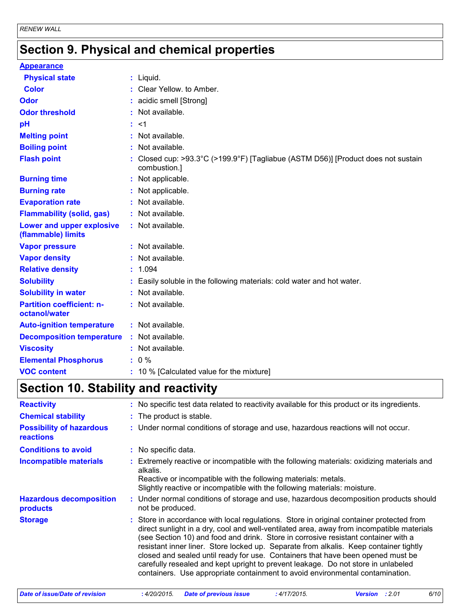### **Section 9. Physical and chemical properties**

| <b>Appearance</b>                                 |                                                                                                   |
|---------------------------------------------------|---------------------------------------------------------------------------------------------------|
| <b>Physical state</b>                             | $:$ Liquid.                                                                                       |
| <b>Color</b>                                      | : Clear Yellow, to Amber,                                                                         |
| <b>Odor</b>                                       | : acidic smell [Strong]                                                                           |
| <b>Odor threshold</b>                             | : Not available.                                                                                  |
| pH                                                | : <1                                                                                              |
| <b>Melting point</b>                              | : Not available.                                                                                  |
| <b>Boiling point</b>                              | : Not available.                                                                                  |
| <b>Flash point</b>                                | : Closed cup: >93.3°C (>199.9°F) [Tagliabue (ASTM D56)] [Product does not sustain<br>combustion.] |
| <b>Burning time</b>                               | : Not applicable.                                                                                 |
| <b>Burning rate</b>                               | : Not applicable.                                                                                 |
| <b>Evaporation rate</b>                           | : Not available.                                                                                  |
| <b>Flammability (solid, gas)</b>                  | : Not available.                                                                                  |
| Lower and upper explosive<br>(flammable) limits   | : Not available.                                                                                  |
| <b>Vapor pressure</b>                             | : Not available.                                                                                  |
| <b>Vapor density</b>                              | : Not available.                                                                                  |
| <b>Relative density</b>                           | : 1.094                                                                                           |
| <b>Solubility</b>                                 | : Easily soluble in the following materials: cold water and hot water.                            |
| <b>Solubility in water</b>                        | : Not available.                                                                                  |
| <b>Partition coefficient: n-</b><br>octanol/water | : Not available.                                                                                  |
| <b>Auto-ignition temperature</b>                  | : Not available.                                                                                  |
| <b>Decomposition temperature</b>                  | : Not available.                                                                                  |
| <b>Viscosity</b>                                  | : Not available.                                                                                  |
| <b>Elemental Phosphorus</b>                       | $: 0 \%$                                                                                          |
| <b>VOC content</b>                                | : 10 % [Calculated value for the mixture]                                                         |

### **Section 10. Stability and reactivity**

| <b>Reactivity</b>                                   | : No specific test data related to reactivity available for this product or its ingredients.                                                                                                                                                                                                                                                                                                                                                                                                                                                                                                                                  |
|-----------------------------------------------------|-------------------------------------------------------------------------------------------------------------------------------------------------------------------------------------------------------------------------------------------------------------------------------------------------------------------------------------------------------------------------------------------------------------------------------------------------------------------------------------------------------------------------------------------------------------------------------------------------------------------------------|
| <b>Chemical stability</b>                           | : The product is stable.                                                                                                                                                                                                                                                                                                                                                                                                                                                                                                                                                                                                      |
| <b>Possibility of hazardous</b><br><b>reactions</b> | : Under normal conditions of storage and use, hazardous reactions will not occur.                                                                                                                                                                                                                                                                                                                                                                                                                                                                                                                                             |
| <b>Conditions to avoid</b>                          | : No specific data.                                                                                                                                                                                                                                                                                                                                                                                                                                                                                                                                                                                                           |
| <b>Incompatible materials</b>                       | Extremely reactive or incompatible with the following materials: oxidizing materials and<br>alkalis.<br>Reactive or incompatible with the following materials: metals.<br>Slightly reactive or incompatible with the following materials: moisture.                                                                                                                                                                                                                                                                                                                                                                           |
| <b>Hazardous decomposition</b><br>products          | : Under normal conditions of storage and use, hazardous decomposition products should<br>not be produced.                                                                                                                                                                                                                                                                                                                                                                                                                                                                                                                     |
| <b>Storage</b>                                      | : Store in accordance with local regulations. Store in original container protected from<br>direct sunlight in a dry, cool and well-ventilated area, away from incompatible materials<br>(see Section 10) and food and drink. Store in corrosive resistant container with a<br>resistant inner liner. Store locked up. Separate from alkalis. Keep container tightly<br>closed and sealed until ready for use. Containers that have been opened must be<br>carefully resealed and kept upright to prevent leakage. Do not store in unlabeled<br>containers. Use appropriate containment to avoid environmental contamination. |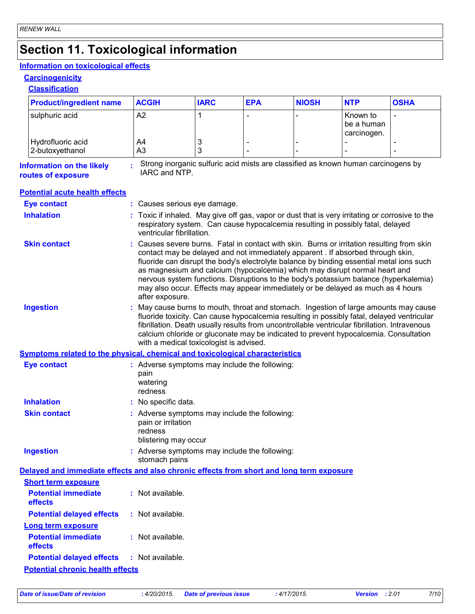## **Section 11. Toxicological information**

### **Information on toxicological effects**

#### **Carcinogenicity**

**Classification**

| <b>Product/ingredient name</b>                                                           | <b>ACGIH</b>                                                                                                                                                                                                                                                                                                                                                                                                                                                                                                                                          | <b>IARC</b> | <b>EPA</b> | <b>NIOSH</b> | <b>NTP</b>                            | <b>OSHA</b>    |  |
|------------------------------------------------------------------------------------------|-------------------------------------------------------------------------------------------------------------------------------------------------------------------------------------------------------------------------------------------------------------------------------------------------------------------------------------------------------------------------------------------------------------------------------------------------------------------------------------------------------------------------------------------------------|-------------|------------|--------------|---------------------------------------|----------------|--|
| sulphuric acid                                                                           | A2                                                                                                                                                                                                                                                                                                                                                                                                                                                                                                                                                    | 1           |            |              | Known to<br>be a human<br>carcinogen. | $\blacksquare$ |  |
| Hydrofluoric acid                                                                        | A4                                                                                                                                                                                                                                                                                                                                                                                                                                                                                                                                                    | 3           |            |              |                                       |                |  |
| 2-butoxyethanol                                                                          | A <sub>3</sub>                                                                                                                                                                                                                                                                                                                                                                                                                                                                                                                                        | 3           |            |              |                                       |                |  |
| <b>Information on the likely</b><br>routes of exposure                                   | Strong inorganic sulfuric acid mists are classified as known human carcinogens by<br>IARC and NTP.                                                                                                                                                                                                                                                                                                                                                                                                                                                    |             |            |              |                                       |                |  |
| <b>Potential acute health effects</b>                                                    |                                                                                                                                                                                                                                                                                                                                                                                                                                                                                                                                                       |             |            |              |                                       |                |  |
| <b>Eye contact</b>                                                                       | : Causes serious eye damage.                                                                                                                                                                                                                                                                                                                                                                                                                                                                                                                          |             |            |              |                                       |                |  |
| <b>Inhalation</b>                                                                        | : Toxic if inhaled. May give off gas, vapor or dust that is very irritating or corrosive to the<br>respiratory system. Can cause hypocalcemia resulting in possibly fatal, delayed<br>ventricular fibrillation.                                                                                                                                                                                                                                                                                                                                       |             |            |              |                                       |                |  |
| <b>Skin contact</b>                                                                      | : Causes severe burns. Fatal in contact with skin. Burns or irritation resulting from skin<br>contact may be delayed and not immediately apparent . If absorbed through skin,<br>fluoride can disrupt the body's electrolyte balance by binding essential metal ions such<br>as magnesium and calcium (hypocalcemia) which may disrupt normal heart and<br>nervous system functions. Disruptions to the body's potassium balance (hyperkalemia)<br>may also occur. Effects may appear immediately or be delayed as much as 4 hours<br>after exposure. |             |            |              |                                       |                |  |
| <b>Ingestion</b>                                                                         | May cause burns to mouth, throat and stomach. Ingestion of large amounts may cause<br>fluoride toxicity. Can cause hypocalcemia resulting in possibly fatal, delayed ventricular<br>fibrillation. Death usually results from uncontrollable ventricular fibrillation. Intravenous<br>calcium chloride or gluconate may be indicated to prevent hypocalcemia. Consultation<br>with a medical toxicologist is advised.                                                                                                                                  |             |            |              |                                       |                |  |
| Symptoms related to the physical, chemical and toxicological characteristics             |                                                                                                                                                                                                                                                                                                                                                                                                                                                                                                                                                       |             |            |              |                                       |                |  |
| <b>Eye contact</b>                                                                       | : Adverse symptoms may include the following:<br>pain<br>watering<br>redness                                                                                                                                                                                                                                                                                                                                                                                                                                                                          |             |            |              |                                       |                |  |
| <b>Inhalation</b>                                                                        | : No specific data.                                                                                                                                                                                                                                                                                                                                                                                                                                                                                                                                   |             |            |              |                                       |                |  |
| <b>Skin contact</b>                                                                      | : Adverse symptoms may include the following:<br>pain or irritation<br>redness<br>blistering may occur                                                                                                                                                                                                                                                                                                                                                                                                                                                |             |            |              |                                       |                |  |
| <b>Ingestion</b>                                                                         | : Adverse symptoms may include the following:<br>stomach pains                                                                                                                                                                                                                                                                                                                                                                                                                                                                                        |             |            |              |                                       |                |  |
| Delayed and immediate effects and also chronic effects from short and long term exposure |                                                                                                                                                                                                                                                                                                                                                                                                                                                                                                                                                       |             |            |              |                                       |                |  |
| <b>Short term exposure</b>                                                               |                                                                                                                                                                                                                                                                                                                                                                                                                                                                                                                                                       |             |            |              |                                       |                |  |
| <b>Potential immediate</b><br>effects                                                    | : Not available.                                                                                                                                                                                                                                                                                                                                                                                                                                                                                                                                      |             |            |              |                                       |                |  |
| <b>Potential delayed effects</b>                                                         | : Not available.                                                                                                                                                                                                                                                                                                                                                                                                                                                                                                                                      |             |            |              |                                       |                |  |
| Long term exposure                                                                       |                                                                                                                                                                                                                                                                                                                                                                                                                                                                                                                                                       |             |            |              |                                       |                |  |
| <b>Potential immediate</b><br>effects                                                    | : Not available.                                                                                                                                                                                                                                                                                                                                                                                                                                                                                                                                      |             |            |              |                                       |                |  |
| <b>Potential delayed effects</b><br><b>Potential chronic health effects</b>              | : Not available.                                                                                                                                                                                                                                                                                                                                                                                                                                                                                                                                      |             |            |              |                                       |                |  |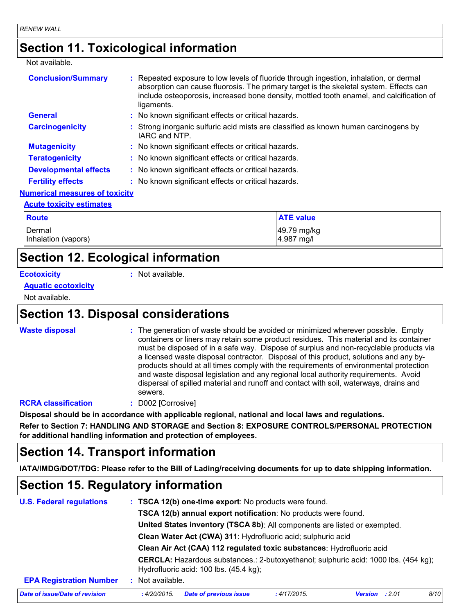### **Section 11. Toxicological information**

#### Not available.

| <b>Conclusion/Summary</b>             | : Repeated exposure to low levels of fluoride through ingestion, inhalation, or dermal<br>absorption can cause fluorosis. The primary target is the skeletal system. Effects can<br>include osteoporosis, increased bone density, mottled tooth enamel, and calcification of<br>ligaments. |
|---------------------------------------|--------------------------------------------------------------------------------------------------------------------------------------------------------------------------------------------------------------------------------------------------------------------------------------------|
| General                               | : No known significant effects or critical hazards.                                                                                                                                                                                                                                        |
| <b>Carcinogenicity</b>                | : Strong inorganic sulfuric acid mists are classified as known human carcinogens by<br>IARC and NTP.                                                                                                                                                                                       |
| <b>Mutagenicity</b>                   | : No known significant effects or critical hazards.                                                                                                                                                                                                                                        |
| <b>Teratogenicity</b>                 | : No known significant effects or critical hazards.                                                                                                                                                                                                                                        |
| <b>Developmental effects</b>          | : No known significant effects or critical hazards.                                                                                                                                                                                                                                        |
| <b>Fertility effects</b>              | : No known significant effects or critical hazards.                                                                                                                                                                                                                                        |
| <b>Numerical measures of toxicity</b> |                                                                                                                                                                                                                                                                                            |
|                                       |                                                                                                                                                                                                                                                                                            |

#### **Acute toxicity estimates**

| <b>Route</b>        | <b>ATE value</b> |
|---------------------|------------------|
| l Dermal            | 49.79 mg/kg      |
| Inhalation (vapors) | 4.987 mg/l       |

### **Section 12. Ecological information**

#### **Ecotoxicity :**

: Not available.

#### **Aquatic ecotoxicity**

Not available.

### **Section 13. Disposal considerations**

**Waste disposal :**

The generation of waste should be avoided or minimized wherever possible. Empty containers or liners may retain some product residues. This material and its container must be disposed of in a safe way. Dispose of surplus and non-recyclable products via a licensed waste disposal contractor. Disposal of this product, solutions and any byproducts should at all times comply with the requirements of environmental protection and waste disposal legislation and any regional local authority requirements. Avoid dispersal of spilled material and runoff and contact with soil, waterways, drains and sewers.

#### **RCRA classification :** D002 [Corrosive]

**Disposal should be in accordance with applicable regional, national and local laws and regulations.**

**Refer to Section 7: HANDLING AND STORAGE and Section 8: EXPOSURE CONTROLS/PERSONAL PROTECTION for additional handling information and protection of employees.**

### **Section 14. Transport information**

**IATA/IMDG/DOT/TDG: Please refer to the Bill of Lading/receiving documents for up to date shipping information.**

### **Section 15. Regulatory information**

| <b>U.S. Federal regulations</b> |                                                                           | : TSCA 12(b) one-time export: No products were found.                                                                         |              |                       |  |      |  |  |
|---------------------------------|---------------------------------------------------------------------------|-------------------------------------------------------------------------------------------------------------------------------|--------------|-----------------------|--|------|--|--|
|                                 | TSCA 12(b) annual export notification: No products were found.            |                                                                                                                               |              |                       |  |      |  |  |
|                                 | United States inventory (TSCA 8b): All components are listed or exempted. |                                                                                                                               |              |                       |  |      |  |  |
|                                 | Clean Water Act (CWA) 311: Hydrofluoric acid; sulphuric acid              |                                                                                                                               |              |                       |  |      |  |  |
|                                 | Clean Air Act (CAA) 112 regulated toxic substances: Hydrofluoric acid     |                                                                                                                               |              |                       |  |      |  |  |
|                                 |                                                                           | CERCLA: Hazardous substances.: 2-butoxyethanol; sulphuric acid: 1000 lbs. (454 kg);<br>Hydrofluoric acid: 100 lbs. (45.4 kg); |              |                       |  |      |  |  |
| <b>EPA Registration Number</b>  | Not available.                                                            |                                                                                                                               |              |                       |  |      |  |  |
| Date of issue/Date of revision  | : 4/20/2015.                                                              | <b>Date of previous issue</b>                                                                                                 | : 4/17/2015. | <b>Version</b> : 2.01 |  | 8/10 |  |  |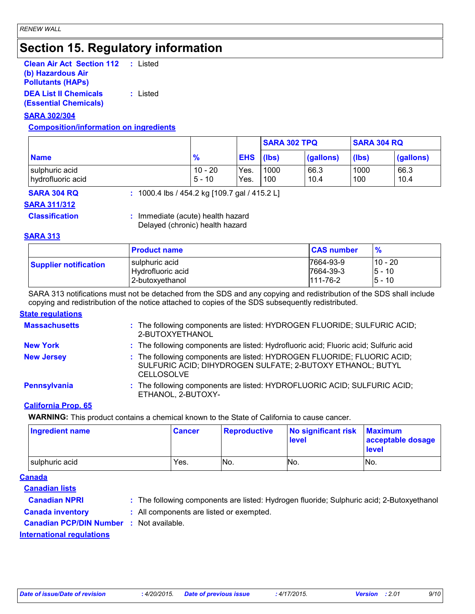### **Section 15. Regulatory information**

| <b>Clean Air Act Section 112</b> | : Listed |
|----------------------------------|----------|
| (b) Hazardous Air                |          |
| <b>Pollutants (HAPS)</b>         |          |
| <b>DEA List II Chemicals</b>     | : Listed |

**(Essential Chemicals)**

#### **SARA 302/304**

#### **Composition/information on ingredients**

|                                     |                       |                  | <b>SARA 304 RQ</b><br><b>SARA 302 TPQ</b> |              |             |              |
|-------------------------------------|-----------------------|------------------|-------------------------------------------|--------------|-------------|--------------|
| <b>Name</b>                         | $\frac{9}{6}$         | <b>EHS</b> (lbs) |                                           | (gallons)    | (lbs)       | (gallons)    |
| sulphuric acid<br>hydrofluoric acid | $10 - 20$<br>$5 - 10$ | Yes.<br>Yes.     | 1000<br>100                               | 66.3<br>10.4 | 1000<br>100 | 66.3<br>10.4 |

**SARA 304 RQ :** 1000.4 lbs / 454.2 kg [109.7 gal / 415.2 L]

#### **SARA 311/312**

**Classification :** Immediate (acute) health hazard Delayed (chronic) health hazard

#### **SARA 313**

|                              | <b>Product name</b> | <b>CAS number</b> | $\frac{9}{6}$ |
|------------------------------|---------------------|-------------------|---------------|
| <b>Supplier notification</b> | I sulphuric acid    | 17664-93-9        | 10 - 20       |
|                              | Hydrofluoric acid   | 7664-39-3         | $5 - 10$      |
|                              | 2-butoxyethanol     | $111 - 76 - 2$    | 5 - 10        |

SARA 313 notifications must not be detached from the SDS and any copying and redistribution of the SDS shall include copying and redistribution of the notice attached to copies of the SDS subsequently redistributed.

#### **State regulations**

| <b>Massachusetts</b> | : The following components are listed: HYDROGEN FLUORIDE; SULFURIC ACID;<br>2-BUTOXYETHANOL                                                                |
|----------------------|------------------------------------------------------------------------------------------------------------------------------------------------------------|
| <b>New York</b>      | : The following components are listed: Hydrofluoric acid; Fluoric acid; Sulfuric acid                                                                      |
| <b>New Jersey</b>    | : The following components are listed: HYDROGEN FLUORIDE; FLUORIC ACID;<br>SULFURIC ACID; DIHYDROGEN SULFATE; 2-BUTOXY ETHANOL; BUTYL<br><b>CELLOSOLVE</b> |
| Pennsylvania         | : The following components are listed: HYDROFLUORIC ACID; SULFURIC ACID;<br>ETHANOL, 2-BUTOXY-                                                             |

#### **California Prop. 65**

**WARNING:** This product contains a chemical known to the State of California to cause cancer.

| <b>Ingredient name</b> | <b>Cancer</b> | Reproductive | No significant risk<br><b>level</b> | <b>Maximum</b><br>acceptable dosage<br><b>level</b> |
|------------------------|---------------|--------------|-------------------------------------|-----------------------------------------------------|
| sulphuric acid         | Yes.          | No.          | No.                                 | No.                                                 |

#### **Canada**

**Canadian lists**

- **Canadian NPRI :** The following components are listed: Hydrogen fluoride; Sulphuric acid; 2-Butoxyethanol
- **Canada inventory :** All components are listed or exempted.
- **Canadian PCP/DIN Number :** Not available.

**International regulations**